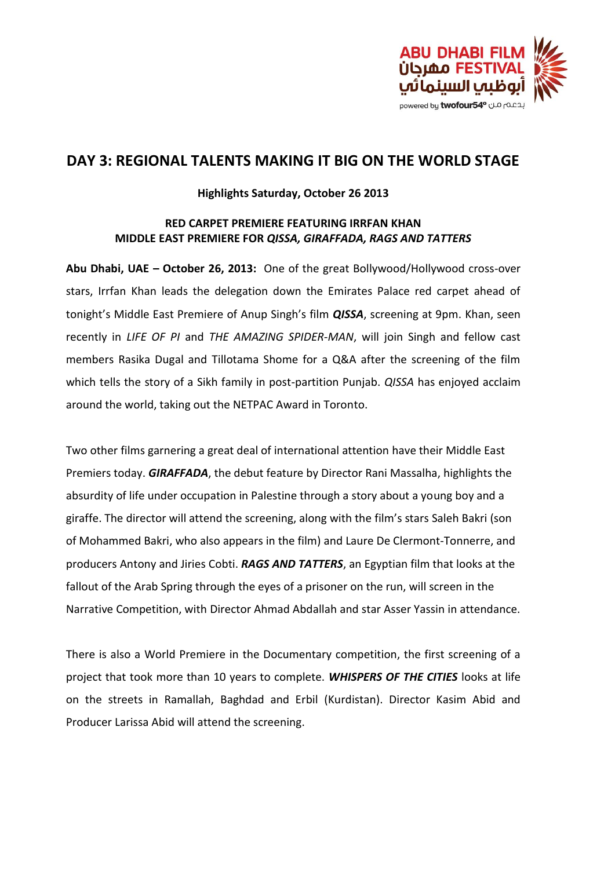

# **DAY 3: REGIONAL TALENTS MAKING IT BIG ON THE WORLD STAGE**

### **Highlights Saturday, October 26 2013**

### **RED CARPET PREMIERE FEATURING IRRFAN KHAN MIDDLE EAST PREMIERE FOR** *QISSA, GIRAFFADA, RAGS AND TATTERS*

**Abu Dhabi, UAE – October 26, 2013:** One of the great Bollywood/Hollywood cross-over stars, Irrfan Khan leads the delegation down the Emirates Palace red carpet ahead of tonight's Middle East Premiere of Anup Singh's film *QISSA*, screening at 9pm. Khan, seen recently in *LIFE OF PI* and *THE AMAZING SPIDER-MAN*, will join Singh and fellow cast members Rasika Dugal and Tillotama Shome for a Q&A after the screening of the film which tells the story of a Sikh family in post-partition Punjab. *QISSA* has enjoyed acclaim around the world, taking out the NETPAC Award in Toronto.

Two other films garnering a great deal of international attention have their Middle East Premiers today. *GIRAFFADA*, the debut feature by Director Rani Massalha, highlights the absurdity of life under occupation in Palestine through a story about a young boy and a giraffe. The director will attend the screening, along with the film's stars Saleh Bakri (son of Mohammed Bakri, who also appears in the film) and Laure De Clermont-Tonnerre, and producers Antony and Jiries Cobti. *RAGS AND TATTERS*, an Egyptian film that looks at the fallout of the Arab Spring through the eyes of a prisoner on the run, will screen in the Narrative Competition, with Director Ahmad Abdallah and star Asser Yassin in attendance.

There is also a World Premiere in the Documentary competition, the first screening of a project that took more than 10 years to complete. *WHISPERS OF THE CITIES* looks at life on the streets in Ramallah, Baghdad and Erbil (Kurdistan). Director Kasim Abid and Producer Larissa Abid will attend the screening.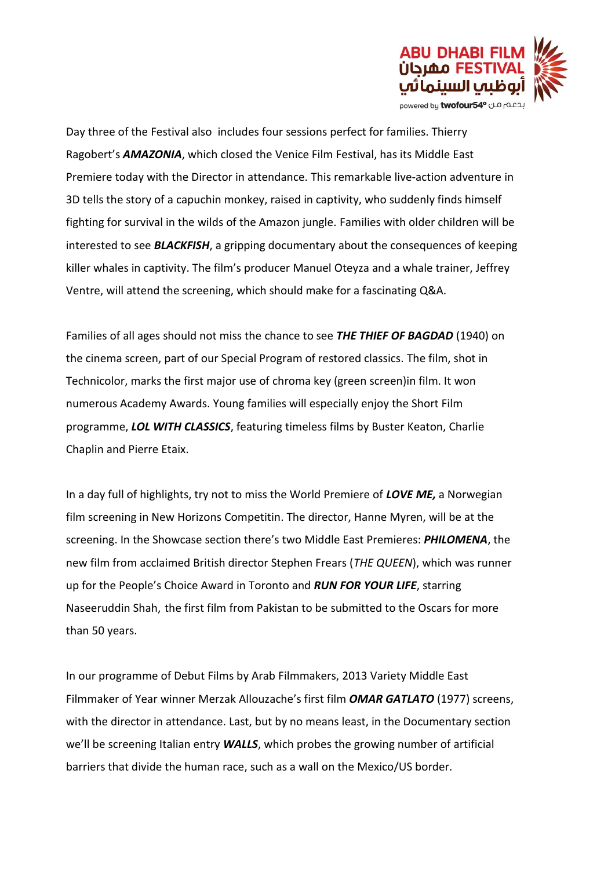

Day three of the Festival also includes four sessions perfect for families. Thierry Ragobert's *AMAZONIA*, which closed the Venice Film Festival, has its Middle East Premiere today with the Director in attendance. This remarkable live-action adventure in 3D tells the story of a capuchin monkey, raised in captivity, who suddenly finds himself fighting for survival in the wilds of the Amazon jungle. Families with older children will be interested to see *BLACKFISH*, a gripping documentary about the consequences of keeping killer whales in captivity. The film's producer Manuel Oteyza and a whale trainer, Jeffrey Ventre, will attend the screening, which should make for a fascinating Q&A.

Families of all ages should not miss the chance to see *THE THIEF OF BAGDAD* (1940) on the cinema screen, part of our Special Program of restored classics. The film, shot in Technicolor, marks the first major use of [chroma](http://en.wikipedia.org/wiki/Chroma_key) key (green screen)in film. It won numerous Academy Awards. Young families will especially enjoy the Short Film programme, *LOL WITH CLASSICS*, featuring timeless films by Buster Keaton, Charlie Chaplin and Pierre Etaix.

In a day full of highlights, try not to miss the World Premiere of *LOVE ME,* a Norwegian film screening in New Horizons Competitin. The director, Hanne Myren, will be at the screening. In the Showcase section there's two Middle East Premieres: *PHILOMENA*, the new film from acclaimed British director Stephen Frears (*THE QUEEN*), which was runner up for the People's Choice Award in Toronto and *RUN FOR YOUR LIFE*, starring Naseeruddin Shah, the first film from Pakistan to be submitted to the Oscars for more than 50 years.

In our programme of Debut Films by Arab Filmmakers, 2013 Variety Middle East Filmmaker of Year winner Merzak Allouzache's first film *OMAR GATLATO* (1977) screens, with the director in attendance. Last, but by no means least, in the Documentary section we'll be screening Italian entry *WALLS*, which probes the growing number of artificial barriers that divide the human race, such as a wall on the Mexico/US border.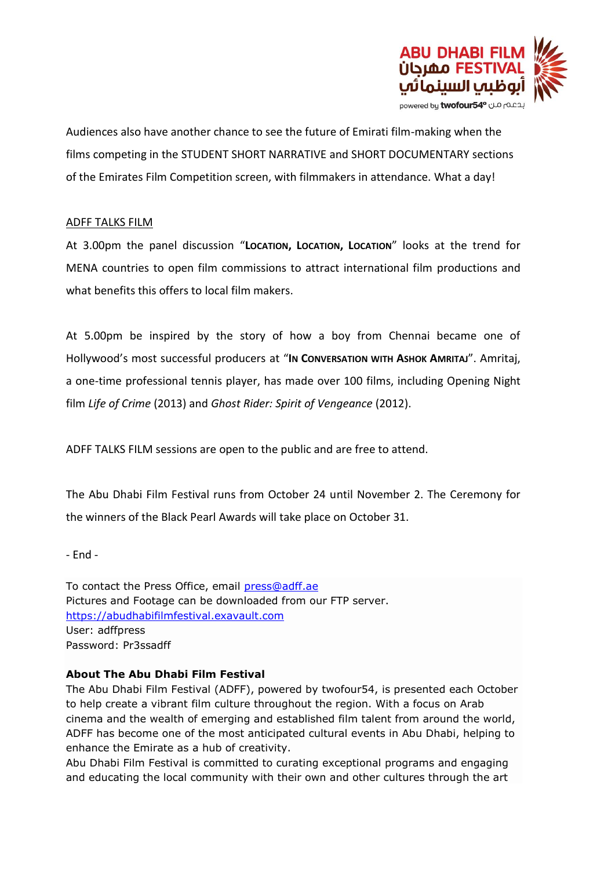

Audiences also have another chance to see the future of Emirati film-making when the films competing in the STUDENT SHORT NARRATIVE and SHORT DOCUMENTARY sections of the Emirates Film Competition screen, with filmmakers in attendance. What a day!

### ADFF TALKS FILM

At 3.00pm the panel discussion "**LOCATION, LOCATION, LOCATION**" looks at the trend for MENA countries to open film commissions to attract international film productions and what benefits this offers to local film makers.

At 5.00pm be inspired by the story of how a boy from Chennai became one of Hollywood's most successful producers at "**IN CONVERSATION WITH ASHOK AMRITAJ**". Amritaj, a one-time professional tennis player, has made over 100 films, including Opening Night film *Life of Crime* (2013) and *Ghost Rider: Spirit of Vengeance* (2012).

ADFF TALKS FILM sessions are open to the public and are free to attend.

The Abu Dhabi Film Festival runs from October 24 until November 2. The Ceremony for the winners of the Black Pearl Awards will take place on October 31.

- End -

To contact the Press Office, email [press@adff.ae](mailto:press@adff.ae) Pictures and Footage can be downloaded from our FTP server. [https://abudhabifilmfestival.exavault.com](https://abudhabifilmfestival.exavault.com/) User: adffpress Password: Pr3ssadff

## **About The Abu Dhabi Film Festival**

The Abu Dhabi Film Festival (ADFF), powered by twofour54, is presented each October to help create a vibrant film culture throughout the region. With a focus on Arab cinema and the wealth of emerging and established film talent from around the world, ADFF has become one of the most anticipated cultural events in Abu Dhabi, helping to enhance the Emirate as a hub of creativity.

Abu Dhabi Film Festival is committed to curating exceptional programs and engaging and educating the local community with their own and other cultures through the art